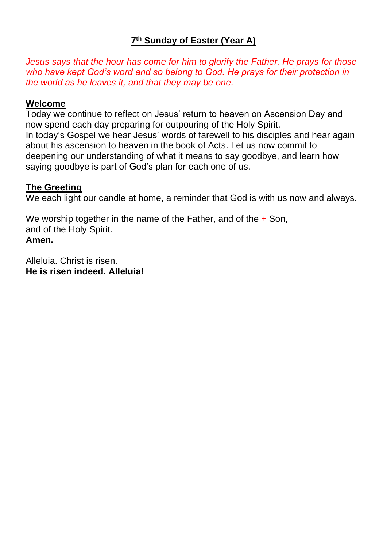# **7 th Sunday of Easter (Year A)**

*Jesus says that the hour has come for him to glorify the Father. He prays for those who have kept God's word and so belong to God. He prays for their protection in the world as he leaves it, and that they may be one.*

### **Welcome**

Today we continue to reflect on Jesus' return to heaven on Ascension Day and now spend each day preparing for outpouring of the Holy Spirit. In today's Gospel we hear Jesus' words of farewell to his disciples and hear again about his ascension to heaven in the book of Acts. Let us now commit to deepening our understanding of what it means to say goodbye, and learn how saying goodbye is part of God's plan for each one of us.

# **The Greeting**

We each light our candle at home, a reminder that God is with us now and always.

We worship together in the name of the Father, and of the  $+$  Son, and of the Holy Spirit. **Amen.**

Alleluia. Christ is risen. **He is risen indeed. Alleluia!**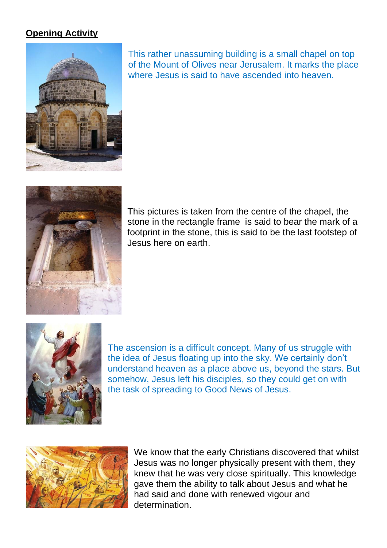# **Opening Activity**



This rather unassuming building is a small chapel on top of the Mount of Olives near Jerusalem. It marks the place where Jesus is said to have ascended into heaven.



This pictures is taken from the centre of the chapel, the stone in the rectangle frame is said to bear the mark of a footprint in the stone, this is said to be the last footstep of Jesus here on earth.



The ascension is a difficult concept. Many of us struggle with the idea of Jesus floating up into the sky. We certainly don't understand heaven as a place above us, beyond the stars. But somehow, Jesus left his disciples, so they could get on with the task of spreading to Good News of Jesus.



We know that the early Christians discovered that whilst Jesus was no longer physically present with them, they knew that he was very close spiritually. This knowledge gave them the ability to talk about Jesus and what he had said and done with renewed vigour and determination.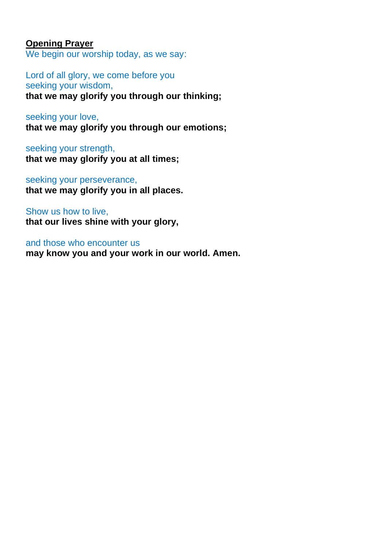#### **Opening Prayer**

We begin our worship today, as we say:

Lord of all glory, we come before you seeking your wisdom, **that we may glorify you through our thinking;**

seeking your love, **that we may glorify you through our emotions;**

seeking your strength, **that we may glorify you at all times;**

seeking your perseverance, **that we may glorify you in all places.**

Show us how to live, **that our lives shine with your glory,**

and those who encounter us **may know you and your work in our world. Amen.**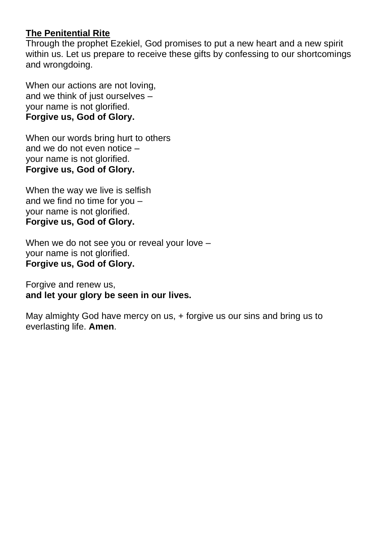# **The Penitential Rite**

Through the prophet Ezekiel, God promises to put a new heart and a new spirit within us. Let us prepare to receive these gifts by confessing to our shortcomings and wrongdoing.

When our actions are not loving, and we think of just ourselves – your name is not glorified. **Forgive us, God of Glory.**

When our words bring hurt to others and we do not even notice – your name is not glorified. **Forgive us, God of Glory.**

When the way we live is selfish and we find no time for you – your name is not glorified. **Forgive us, God of Glory.**

When we do not see you or reveal your love – your name is not glorified. **Forgive us, God of Glory.**

Forgive and renew us, **and let your glory be seen in our lives.**

May almighty God have mercy on us, + forgive us our sins and bring us to everlasting life. **Amen**.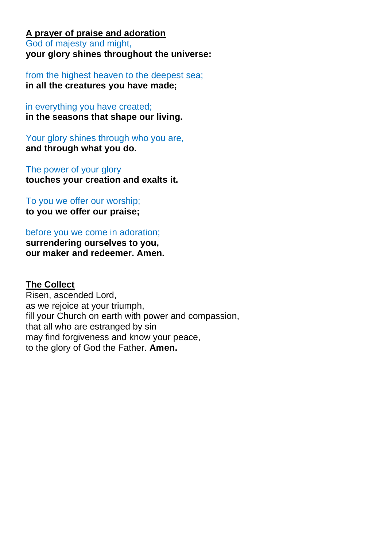### **A prayer of praise and adoration**

God of majesty and might, **your glory shines throughout the universe:**

from the highest heaven to the deepest sea; **in all the creatures you have made;**

in everything you have created; **in the seasons that shape our living.**

Your glory shines through who you are, **and through what you do.**

The power of your glory **touches your creation and exalts it.**

To you we offer our worship; **to you we offer our praise;**

before you we come in adoration; **surrendering ourselves to you, our maker and redeemer. Amen.**

**The Collect** Risen, ascended Lord, as we rejoice at your triumph, fill your Church on earth with power and compassion, that all who are estranged by sin may find forgiveness and know your peace, to the glory of God the Father. **Amen.**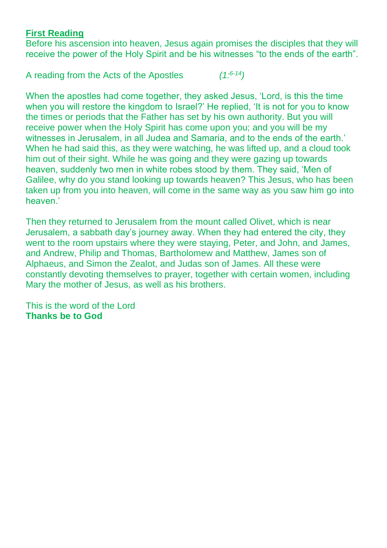### **First Reading**

Before his ascension into heaven, Jesus again promises the disciples that they will receive the power of the Holy Spirit and be his witnesses "to the ends of the earth".

A reading from the Acts of the Apostles *(1:6-14)*

When the apostles had come together, they asked Jesus, 'Lord, is this the time when you will restore the kingdom to Israel?' He replied, 'It is not for you to know the times or periods that the Father has set by his own authority. But you will receive power when the Holy Spirit has come upon you; and you will be my witnesses in Jerusalem, in all Judea and Samaria, and to the ends of the earth.' When he had said this, as they were watching, he was lifted up, and a cloud took him out of their sight. While he was going and they were gazing up towards heaven, suddenly two men in white robes stood by them. They said, 'Men of Galilee, why do you stand looking up towards heaven? This Jesus, who has been taken up from you into heaven, will come in the same way as you saw him go into heaven.'

Then they returned to Jerusalem from the mount called Olivet, which is near Jerusalem, a sabbath day's journey away. When they had entered the city, they went to the room upstairs where they were staying, Peter, and John, and James, and Andrew, Philip and Thomas, Bartholomew and Matthew, James son of Alphaeus, and Simon the Zealot, and Judas son of James. All these were constantly devoting themselves to prayer, together with certain women, including Mary the mother of Jesus, as well as his brothers.

This is the word of the Lord **Thanks be to God**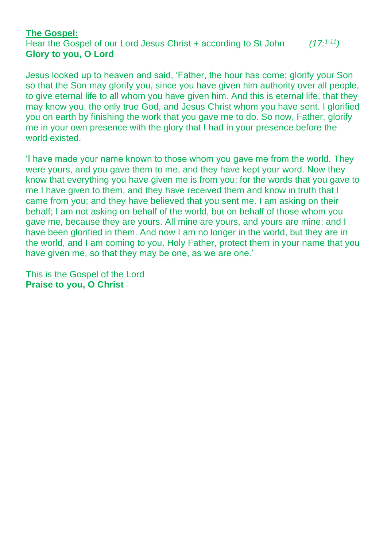### **The Gospel:**

Hear the Gospel of our Lord Jesus Christ + according to St John *1-11)* **Glory to you, O Lord**

Jesus looked up to heaven and said, 'Father, the hour has come; glorify your Son so that the Son may glorify you, since you have given him authority over all people, to give eternal life to all whom you have given him. And this is eternal life, that they may know you, the only true God, and Jesus Christ whom you have sent. I glorified you on earth by finishing the work that you gave me to do. So now, Father, glorify me in your own presence with the glory that I had in your presence before the world existed.

'I have made your name known to those whom you gave me from the world. They were yours, and you gave them to me, and they have kept your word. Now they know that everything you have given me is from you; for the words that you gave to me I have given to them, and they have received them and know in truth that I came from you; and they have believed that you sent me. I am asking on their behalf; I am not asking on behalf of the world, but on behalf of those whom you gave me, because they are yours. All mine are yours, and yours are mine; and I have been glorified in them. And now I am no longer in the world, but they are in the world, and I am coming to you. Holy Father, protect them in your name that you have given me, so that they may be one, as we are one.'

This is the Gospel of the Lord **Praise to you, O Christ**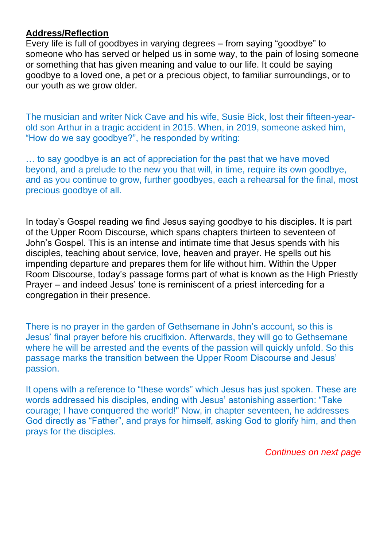# **Address/Reflection**

Every life is full of goodbyes in varying degrees – from saying "goodbye" to someone who has served or helped us in some way, to the pain of losing someone or something that has given meaning and value to our life. It could be saying goodbye to a loved one, a pet or a precious object, to familiar surroundings, or to our youth as we grow older.

The musician and writer Nick Cave and his wife, Susie Bick, lost their fifteen-yearold son Arthur in a tragic accident in 2015. When, in 2019, someone asked him, "How do we say goodbye?", he responded by writing:

… to say goodbye is an act of appreciation for the past that we have moved beyond, and a prelude to the new you that will, in time, require its own goodbye, and as you continue to grow, further goodbyes, each a rehearsal for the final, most precious goodbye of all.

In today's Gospel reading we find Jesus saying goodbye to his disciples. It is part of the Upper Room Discourse, which spans chapters thirteen to seventeen of John's Gospel. This is an intense and intimate time that Jesus spends with his disciples, teaching about service, love, heaven and prayer. He spells out his impending departure and prepares them for life without him. Within the Upper Room Discourse, today's passage forms part of what is known as the High Priestly Prayer – and indeed Jesus' tone is reminiscent of a priest interceding for a congregation in their presence.

There is no prayer in the garden of Gethsemane in John's account, so this is Jesus' final prayer before his crucifixion. Afterwards, they will go to Gethsemane where he will be arrested and the events of the passion will quickly unfold. So this passage marks the transition between the Upper Room Discourse and Jesus' passion.

It opens with a reference to "these words" which Jesus has just spoken. These are words addressed his disciples, ending with Jesus' astonishing assertion: "Take courage; I have conquered the world!" Now, in chapter seventeen, he addresses God directly as "Father", and prays for himself, asking God to glorify him, and then prays for the disciples.

*Continues on next page*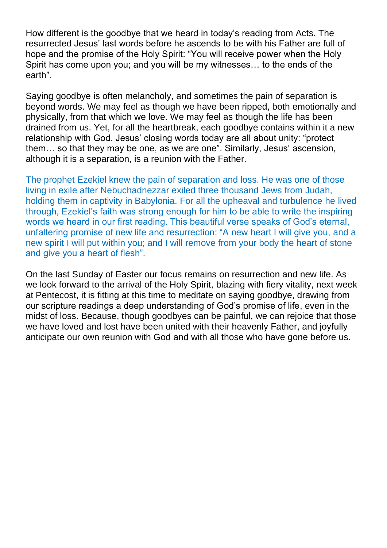How different is the goodbye that we heard in today's reading from Acts. The resurrected Jesus' last words before he ascends to be with his Father are full of hope and the promise of the Holy Spirit: "You will receive power when the Holy Spirit has come upon you; and you will be my witnesses… to the ends of the earth".

Saying goodbye is often melancholy, and sometimes the pain of separation is beyond words. We may feel as though we have been ripped, both emotionally and physically, from that which we love. We may feel as though the life has been drained from us. Yet, for all the heartbreak, each goodbye contains within it a new relationship with God. Jesus' closing words today are all about unity: "protect them… so that they may be one, as we are one". Similarly, Jesus' ascension, although it is a separation, is a reunion with the Father.

The prophet Ezekiel knew the pain of separation and loss. He was one of those living in exile after Nebuchadnezzar exiled three thousand Jews from Judah, holding them in captivity in Babylonia. For all the upheaval and turbulence he lived through, Ezekiel's faith was strong enough for him to be able to write the inspiring words we heard in our first reading. This beautiful verse speaks of God's eternal, unfaltering promise of new life and resurrection: "A new heart I will give you, and a new spirit I will put within you; and I will remove from your body the heart of stone and give you a heart of flesh".

On the last Sunday of Easter our focus remains on resurrection and new life. As we look forward to the arrival of the Holy Spirit, blazing with fiery vitality, next week at Pentecost, it is fitting at this time to meditate on saying goodbye, drawing from our scripture readings a deep understanding of God's promise of life, even in the midst of loss. Because, though goodbyes can be painful, we can rejoice that those we have loved and lost have been united with their heavenly Father, and joyfully anticipate our own reunion with God and with all those who have gone before us.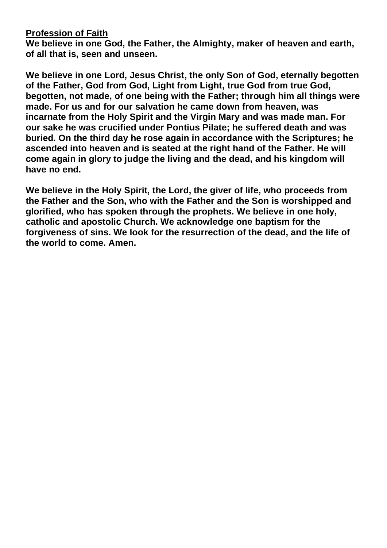### **Profession of Faith**

**We believe in one God, the Father, the Almighty, maker of heaven and earth, of all that is, seen and unseen.**

**We believe in one Lord, Jesus Christ, the only Son of God, eternally begotten of the Father, God from God, Light from Light, true God from true God, begotten, not made, of one being with the Father; through him all things were made. For us and for our salvation he came down from heaven, was incarnate from the Holy Spirit and the Virgin Mary and was made man. For our sake he was crucified under Pontius Pilate; he suffered death and was buried. On the third day he rose again in accordance with the Scriptures; he ascended into heaven and is seated at the right hand of the Father. He will come again in glory to judge the living and the dead, and his kingdom will have no end.**

**We believe in the Holy Spirit, the Lord, the giver of life, who proceeds from the Father and the Son, who with the Father and the Son is worshipped and glorified, who has spoken through the prophets. We believe in one holy, catholic and apostolic Church. We acknowledge one baptism for the forgiveness of sins. We look for the resurrection of the dead, and the life of the world to come. Amen.**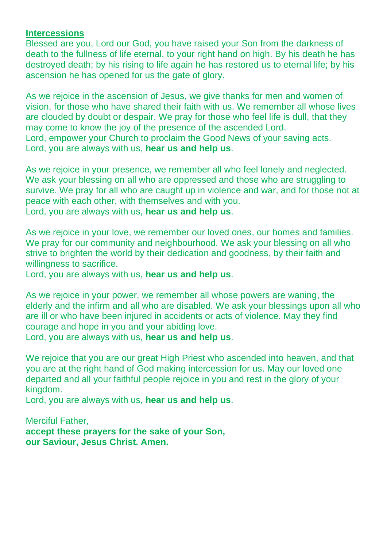#### **Intercessions**

Blessed are you, Lord our God, you have raised your Son from the darkness of death to the fullness of life eternal, to your right hand on high. By his death he has destroyed death; by his rising to life again he has restored us to eternal life; by his ascension he has opened for us the gate of glory.

As we rejoice in the ascension of Jesus, we give thanks for men and women of vision, for those who have shared their faith with us. We remember all whose lives are clouded by doubt or despair. We pray for those who feel life is dull, that they may come to know the joy of the presence of the ascended Lord. Lord, empower your Church to proclaim the Good News of your saving acts. Lord, you are always with us, **hear us and help us**.

As we rejoice in your presence, we remember all who feel lonely and neglected. We ask your blessing on all who are oppressed and those who are struggling to survive. We pray for all who are caught up in violence and war, and for those not at peace with each other, with themselves and with you. Lord, you are always with us, **hear us and help us**.

As we rejoice in your love, we remember our loved ones, our homes and families. We pray for our community and neighbourhood. We ask your blessing on all who strive to brighten the world by their dedication and goodness, by their faith and willingness to sacrifice.

Lord, you are always with us, **hear us and help us**.

As we rejoice in your power, we remember all whose powers are waning, the elderly and the infirm and all who are disabled. We ask your blessings upon all who are ill or who have been injured in accidents or acts of violence. May they find courage and hope in you and your abiding love.

Lord, you are always with us, **hear us and help us**.

We rejoice that you are our great High Priest who ascended into heaven, and that you are at the right hand of God making intercession for us. May our loved one departed and all your faithful people rejoice in you and rest in the glory of your kingdom.

Lord, you are always with us, **hear us and help us**.

Merciful Father, **accept these prayers for the sake of your Son, our Saviour, Jesus Christ. Amen.**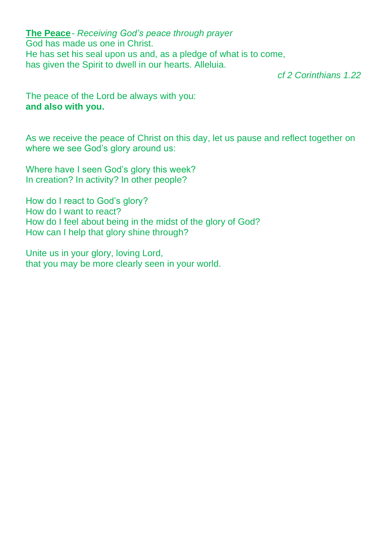**The Peace**- *Receiving God's peace through prayer* God has made us one in Christ. He has set his seal upon us and, as a pledge of what is to come, has given the Spirit to dwell in our hearts. Alleluia.

*cf 2 Corinthians 1.22*

The peace of the Lord be always with you: **and also with you.** 

As we receive the peace of Christ on this day, let us pause and reflect together on where we see God's glory around us:

Where have I seen God's glory this week? In creation? In activity? In other people?

How do I react to God's glory? How do I want to react? How do I feel about being in the midst of the glory of God? How can I help that glory shine through?

Unite us in your glory, loving Lord, that you may be more clearly seen in your world.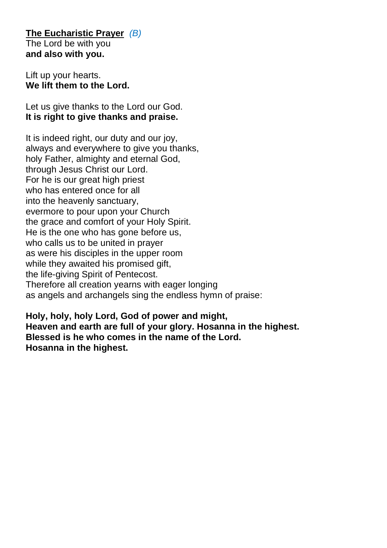**The Eucharistic Prayer** *(B)* The Lord be with you **and also with you.**

Lift up your hearts. **We lift them to the Lord.**

Let us give thanks to the Lord our God. **It is right to give thanks and praise.**

It is indeed right, our duty and our joy, always and everywhere to give you thanks, holy Father, almighty and eternal God, through Jesus Christ our Lord. For he is our great high priest who has entered once for all into the heavenly sanctuary, evermore to pour upon your Church the grace and comfort of your Holy Spirit. He is the one who has gone before us, who calls us to be united in prayer as were his disciples in the upper room while they awaited his promised gift, the life-giving Spirit of Pentecost. Therefore all creation yearns with eager longing as angels and archangels sing the endless hymn of praise:

**Holy, holy, holy Lord, God of power and might, Heaven and earth are full of your glory. Hosanna in the highest. Blessed is he who comes in the name of the Lord. Hosanna in the highest.**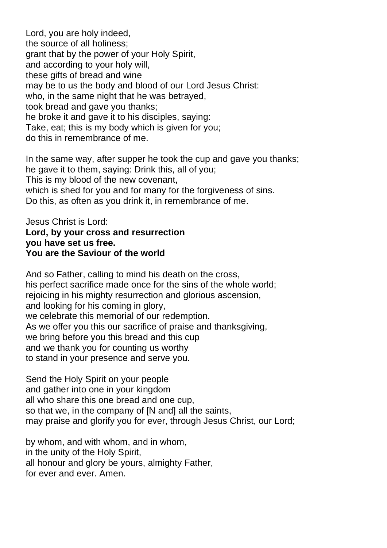Lord, you are holy indeed, the source of all holiness; grant that by the power of your Holy Spirit, and according to your holy will, these gifts of bread and wine may be to us the body and blood of our Lord Jesus Christ: who, in the same night that he was betrayed. took bread and gave you thanks; he broke it and gave it to his disciples, saying: Take, eat; this is my body which is given for you; do this in remembrance of me.

In the same way, after supper he took the cup and gave you thanks; he gave it to them, saying: Drink this, all of you; This is my blood of the new covenant, which is shed for you and for many for the forgiveness of sins. Do this, as often as you drink it, in remembrance of me.

Jesus Christ is Lord: **Lord, by your cross and resurrection you have set us free. You are the Saviour of the world**

And so Father, calling to mind his death on the cross, his perfect sacrifice made once for the sins of the whole world; rejoicing in his mighty resurrection and glorious ascension. and looking for his coming in glory, we celebrate this memorial of our redemption. As we offer you this our sacrifice of praise and thanksgiving, we bring before you this bread and this cup and we thank you for counting us worthy to stand in your presence and serve you.

Send the Holy Spirit on your people and gather into one in your kingdom all who share this one bread and one cup, so that we, in the company of [N and] all the saints, may praise and glorify you for ever, through Jesus Christ, our Lord;

by whom, and with whom, and in whom, in the unity of the Holy Spirit, all honour and glory be yours, almighty Father, for ever and ever. Amen.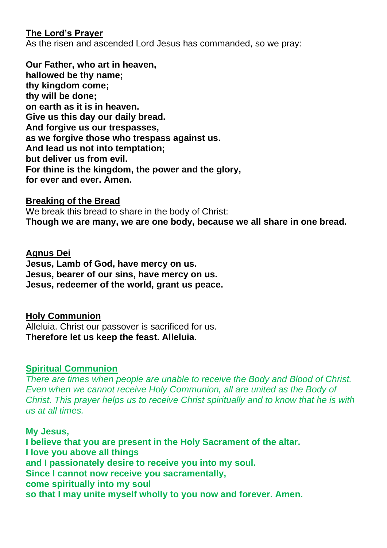# **The Lord's Prayer**

As the risen and ascended Lord Jesus has commanded, so we pray:

**Our Father, who art in heaven, hallowed be thy name; thy kingdom come; thy will be done; on earth as it is in heaven. Give us this day our daily bread. And forgive us our trespasses, as we forgive those who trespass against us. And lead us not into temptation; but deliver us from evil. For thine is the kingdom, the power and the glory, for ever and ever. Amen.**

# **Breaking of the Bread**

We break this bread to share in the body of Christ: **Though we are many, we are one body, because we all share in one bread.**

**Agnus Dei Jesus, Lamb of God, have mercy on us. Jesus, bearer of our sins, have mercy on us. Jesus, redeemer of the world, grant us peace.**

**Holy Communion** Alleluia. Christ our passover is sacrificed for us. **Therefore let us keep the feast. Alleluia.**

# **Spiritual Communion**

*There are times when people are unable to receive the Body and Blood of Christ. Even when we cannot receive Holy Communion, all are united as the Body of Christ. This prayer helps us to receive Christ spiritually and to know that he is with us at all times.*

**My Jesus, I believe that you are present in the Holy Sacrament of the altar. I love you above all things and I passionately desire to receive you into my soul. Since I cannot now receive you sacramentally, come spiritually into my soul so that I may unite myself wholly to you now and forever. Amen.**